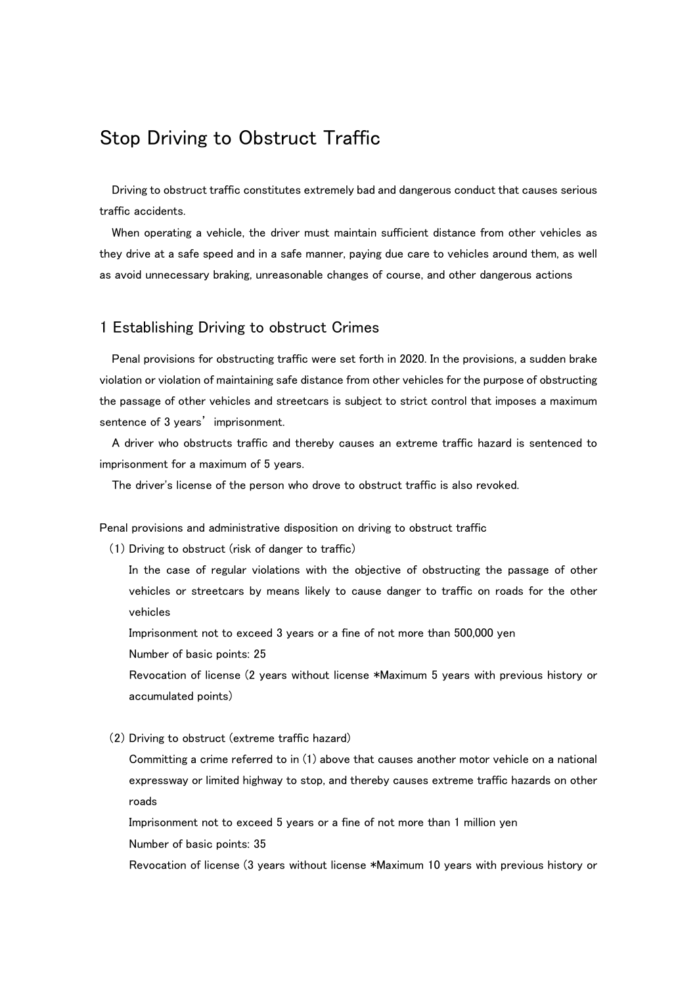# Stop Driving to Obstruct Traffic

Driving to obstruct traffic constitutes extremely bad and dangerous conduct that causes serious traffic accidents.

When operating a vehicle, the driver must maintain sufficient distance from other vehicles as they drive at a safe speed and in a safe manner, paying due care to vehicles around them, as well as avoid unnecessary braking, unreasonable changes of course, and other dangerous actions

### 1 Establishing Driving to obstruct Crimes

Penal provisions for obstructing traffic were set forth in 2020. In the provisions, a sudden brake violation or violation of maintaining safe distance from other vehicles for the purpose of obstructing the passage of other vehicles and streetcars is subject to strict control that imposes a maximum sentence of 3 years' imprisonment.

A driver who obstructs traffic and thereby causes an extreme traffic hazard is sentenced to imprisonment for a maximum of 5 years.

The driver's license of the person who drove to obstruct traffic is also revoked.

Penal provisions and administrative disposition on driving to obstruct traffic

(1) Driving to obstruct (risk of danger to traffic)

In the case of regular violations with the objective of obstructing the passage of other vehicles or streetcars by means likely to cause danger to traffic on roads for the other vehicles

Imprisonment not to exceed 3 years or a fine of not more than 500,000 yen

Number of basic points: 25

Revocation of license (2 years without license \*Maximum 5 years with previous history or accumulated points)

(2) Driving to obstruct (extreme traffic hazard)

Committing a crime referred to in (1) above that causes another motor vehicle on a national expressway or limited highway to stop, and thereby causes extreme traffic hazards on other roads

Imprisonment not to exceed 5 years or a fine of not more than 1 million yen

Number of basic points: 35

Revocation of license (3 years without license \*Maximum 10 years with previous history or